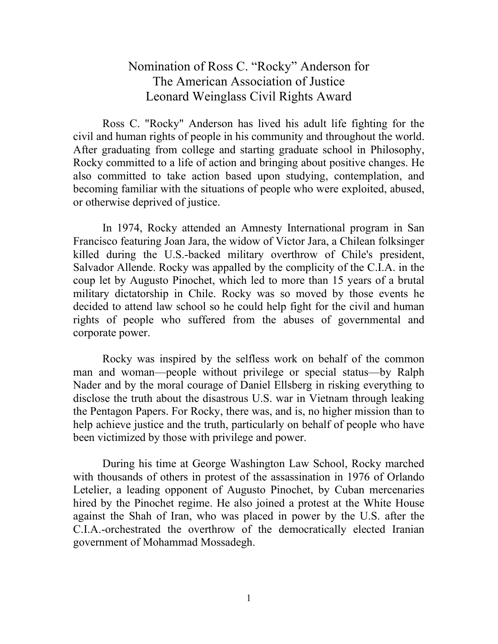## Nomination of Ross C. "Rocky" Anderson for The American Association of Justice Leonard Weinglass Civil Rights Award

Ross C. "Rocky" Anderson has lived his adult life fighting for the civil and human rights of people in his community and throughout the world. After graduating from college and starting graduate school in Philosophy, Rocky committed to a life of action and bringing about positive changes. He also committed to take action based upon studying, contemplation, and becoming familiar with the situations of people who were exploited, abused, or otherwise deprived of justice.

In 1974, Rocky attended an Amnesty International program in San Francisco featuring Joan Jara, the widow of Victor Jara, a Chilean folksinger killed during the U.S.-backed military overthrow of Chile's president, Salvador Allende. Rocky was appalled by the complicity of the C.I.A. in the coup let by Augusto Pinochet, which led to more than 15 years of a brutal military dictatorship in Chile. Rocky was so moved by those events he decided to attend law school so he could help fight for the civil and human rights of people who suffered from the abuses of governmental and corporate power.

Rocky was inspired by the selfless work on behalf of the common man and woman—people without privilege or special status—by Ralph Nader and by the moral courage of Daniel Ellsberg in risking everything to disclose the truth about the disastrous U.S. war in Vietnam through leaking the Pentagon Papers. For Rocky, there was, and is, no higher mission than to help achieve justice and the truth, particularly on behalf of people who have been victimized by those with privilege and power.

During his time at George Washington Law School, Rocky marched with thousands of others in protest of the assassination in 1976 of Orlando Letelier, a leading opponent of Augusto Pinochet, by Cuban mercenaries hired by the Pinochet regime. He also joined a protest at the White House against the Shah of Iran, who was placed in power by the U.S. after the C.I.A.-orchestrated the overthrow of the democratically elected Iranian government of Mohammad Mossadegh.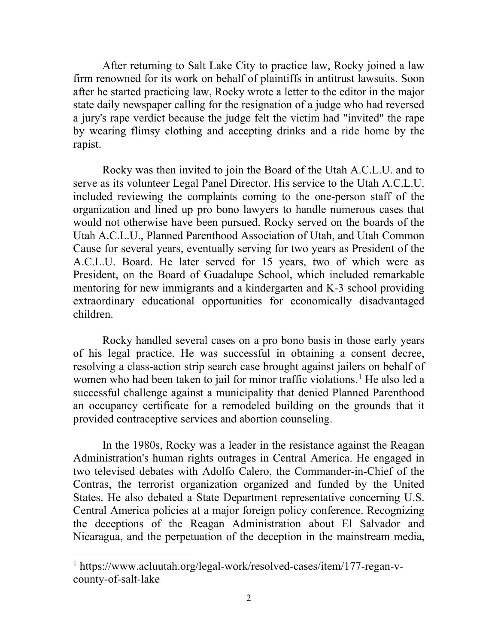After returning to Salt Lake City to practice law, Rocky joined a law firm renowned for its work on behalf of plaintiffs in antitrust lawsuits. Soon after he started practicing law, Rocky wrote a letter to the editor in the major state daily newspaper calling for the resignation of a judge who had reversed a jury's rape verdict because the judge felt the victim had "invited" the rape by wearing flimsy clothing and accepting drinks and a ride home by the rapist.

Rocky was then invited to join the Board of the Utah A.C.L.U. and to serve as its volunteer Legal Panel Director. His service to the Utah A.C.L.U. included reviewing the complaints coming to the one-person staff of the organization and lined up pro bono lawyers to handle numerous cases that would not otherwise have been pursued. Rocky served on the boards of the Utah A.C.L.U., Planned Parenthood Association of Utah, and Utah Common Cause for several years, eventually serving for two years as President of the A.C.L.U. Board. He later served for 15 years, two of which were as President, on the Board of Guadalupe School, which included remarkable mentoring for new immigrants and a kindergarten and K-3 school providing extraordinary educational opportunities for economically disadvantaged children.

Rocky handled several cases on a pro bono basis in those early years of his legal practice. He was successful in obtaining a consent decree, resolving a class-action strip search case brought against jailers on behalf of women who had been taken to jail for minor traffic violations.<sup>[1](#page-1-0)</sup> He also led a successful challenge against a municipality that denied Planned Parenthood an occupancy certificate for a remodeled building on the grounds that it provided contraceptive services and abortion counseling.

In the 1980s, Rocky was a leader in the resistance against the Reagan Administration's human rights outrages in Central America. He engaged in two televised debates with Adolfo Calero, the Commander-in-Chief of the Contras, the terrorist organization organized and funded by the United States. He also debated a State Department representative concerning U.S. Central America policies at a major foreign policy conference. Recognizing the deceptions of the Reagan Administration about El Salvador and Nicaragua, and the perpetuation of the deception in the mainstream media,

<span id="page-1-0"></span><sup>1</sup> [https://www.acluutah.org/legal-work/resolved-cases/item/177-regan-v](https://www.acluutah.org/legal-work/resolved-cases/item/177-regan-v-county-of-salt-lake)[county-of-salt-lake](https://www.acluutah.org/legal-work/resolved-cases/item/177-regan-v-county-of-salt-lake)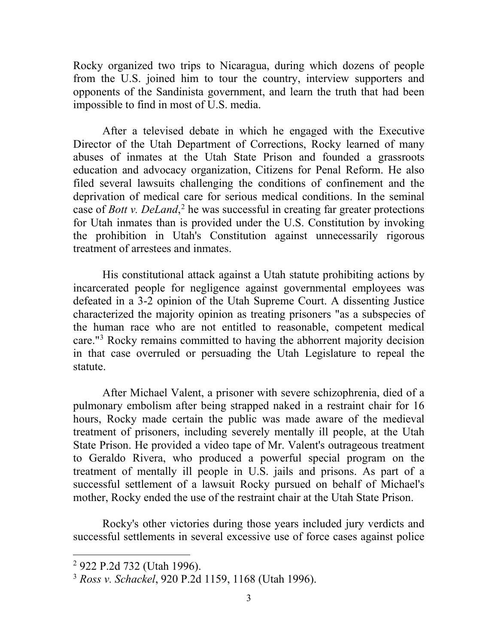Rocky organized two trips to Nicaragua, during which dozens of people from the U.S. joined him to tour the country, interview supporters and opponents of the Sandinista government, and learn the truth that had been impossible to find in most of U.S. media.

After a televised debate in which he engaged with the Executive Director of the Utah Department of Corrections, Rocky learned of many abuses of inmates at the Utah State Prison and founded a grassroots education and advocacy organization, Citizens for Penal Reform. He also filed several lawsuits challenging the conditions of confinement and the deprivation of medical care for serious medical conditions. In the seminal case of *Bott v. DeLand*, [2](#page-2-0) he was successful in creating far greater protections for Utah inmates than is provided under the U.S. Constitution by invoking the prohibition in Utah's Constitution against unnecessarily rigorous treatment of arrestees and inmates.

His constitutional attack against a Utah statute prohibiting actions by incarcerated people for negligence against governmental employees was defeated in a 3-2 opinion of the Utah Supreme Court. A dissenting Justice characterized the majority opinion as treating prisoners "as a subspecies of the human race who are not entitled to reasonable, competent medical care."[3](#page-2-1) Rocky remains committed to having the abhorrent majority decision in that case overruled or persuading the Utah Legislature to repeal the statute.

After Michael Valent, a prisoner with severe schizophrenia, died of a pulmonary embolism after being strapped naked in a restraint chair for 16 hours, Rocky made certain the public was made aware of the medieval treatment of prisoners, including severely mentally ill people, at the Utah State Prison. He provided a video tape of Mr. Valent's outrageous treatment to Geraldo Rivera, who produced a powerful special program on the treatment of mentally ill people in U.S. jails and prisons. As part of a successful settlement of a lawsuit Rocky pursued on behalf of Michael's mother, Rocky ended the use of the restraint chair at the Utah State Prison.

Rocky's other victories during those years included jury verdicts and successful settlements in several excessive use of force cases against police

<span id="page-2-0"></span><sup>2</sup> 922 P.2d 732 (Utah 1996).

<span id="page-2-1"></span><sup>3</sup> *Ross v. Schackel*, 920 P.2d 1159, 1168 (Utah 1996).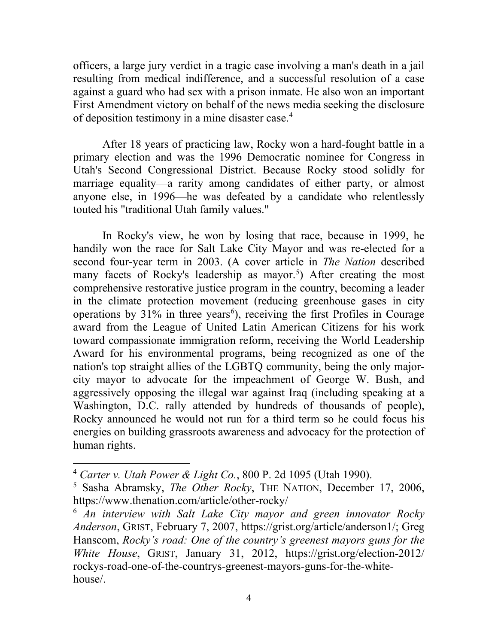officers, a large jury verdict in a tragic case involving a man's death in a jail resulting from medical indifference, and a successful resolution of a case against a guard who had sex with a prison inmate. He also won an important First Amendment victory on behalf of the news media seeking the disclosure of deposition testimony in a mine disaster case.[4](#page-3-0)

After 18 years of practicing law, Rocky won a hard-fought battle in a primary election and was the 1996 Democratic nominee for Congress in Utah's Second Congressional District. Because Rocky stood solidly for marriage equality—a rarity among candidates of either party, or almost anyone else, in 1996—he was defeated by a candidate who relentlessly touted his "traditional Utah family values."

In Rocky's view, he won by losing that race, because in 1999, he handily won the race for Salt Lake City Mayor and was re-elected for a second four-year term in 2003. (A cover article in *The Nation* described many facets of Rocky's leadership as mayor.<sup>[5](#page-3-1)</sup>) After creating the most comprehensive restorative justice program in the country, becoming a leader in the climate protection movement (reducing greenhouse gases in city operations by  $31\%$  in three years<sup>[6](#page-3-2)</sup>), receiving the first Profiles in Courage award from the League of United Latin American Citizens for his work toward compassionate immigration reform, receiving the World Leadership Award for his environmental programs, being recognized as one of the nation's top straight allies of the LGBTQ community, being the only majorcity mayor to advocate for the impeachment of George W. Bush, and aggressively opposing the illegal war against Iraq (including speaking at a Washington, D.C. rally attended by hundreds of thousands of people), Rocky announced he would not run for a third term so he could focus his energies on building grassroots awareness and advocacy for the protection of human rights.

<span id="page-3-0"></span><sup>4</sup> *Carter v. Utah Power & Light Co.*, 800 P. 2d 1095 (Utah 1990).

<span id="page-3-1"></span><sup>5</sup> Sasha Abramsky, *The Other Rocky*, THE NATION, December 17, 2006, <https://www.thenation.com/article/other-rocky/>

<span id="page-3-2"></span><sup>6</sup> *An interview with Salt Lake City mayor and green innovator Rocky Anderson*, GRIST, February 7, 2007, [https://grist.org/article/anderson1/;](https://grist.org/article/anderson1/) Greg Hanscom, *Rocky's road: One of the country's greenest mayors guns for the White House*, GRIST, January 31, 2012, [https://grist.org/election-2012/](https://grist.org/election-2012/%20rockys-road-one-of-the-countrys-greenest-mayors-guns-for-the-white-house/) [rockys-road-one-of-the-countrys-greenest-mayors-guns-for-the-white](https://grist.org/election-2012/%20rockys-road-one-of-the-countrys-greenest-mayors-guns-for-the-white-house/)[house/.](https://grist.org/election-2012/%20rockys-road-one-of-the-countrys-greenest-mayors-guns-for-the-white-house/)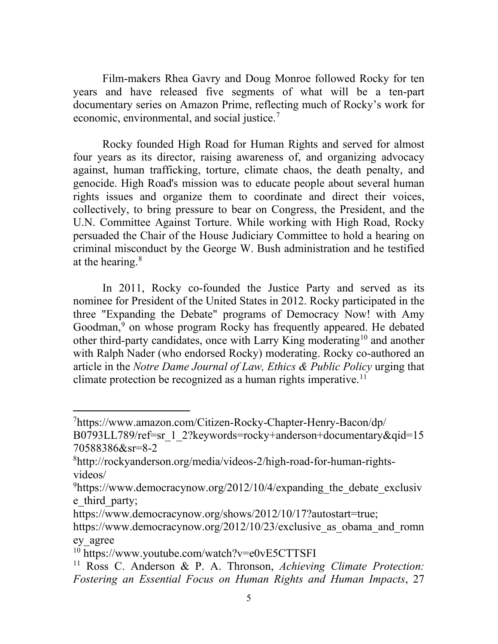Film-makers Rhea Gavry and Doug Monroe followed Rocky for ten years and have released five segments of what will be a ten-part documentary series on Amazon Prime, reflecting much of Rocky's work for economic, environmental, and social justice.<sup>[7](#page-4-0)</sup>

Rocky founded High Road for Human Rights and served for almost four years as its director, raising awareness of, and organizing advocacy against, human trafficking, torture, climate chaos, the death penalty, and genocide. High Road's mission was to educate people about several human rights issues and organize them to coordinate and direct their voices, collectively, to bring pressure to bear on Congress, the President, and the U.N. Committee Against Torture. While working with High Road, Rocky persuaded the Chair of the House Judiciary Committee to hold a hearing on criminal misconduct by the George W. Bush administration and he testified at the hearing. $8<sup>8</sup>$  $8<sup>8</sup>$ 

In 2011, Rocky co-founded the Justice Party and served as its nominee for President of the United States in 2012. Rocky participated in the three "Expanding the Debate" programs of Democracy Now! with Amy Goodman,<sup>[9](#page-4-2)</sup> on whose program Rocky has frequently appeared. He debated other third-party candidates, once with Larry King moderating<sup>[10](#page-4-3)</sup> and another with Ralph Nader (who endorsed Rocky) moderating. Rocky co-authored an article in the *Notre Dame Journal of Law, Ethics & Public Policy* urging that climate protection be recognized as a human rights imperative.<sup>[11](#page-4-4)</sup>

<span id="page-4-0"></span><sup>7</sup> [https://www.amazon.com/Citizen-Rocky-Chapter-Henry-Bacon/dp/](https://www.amazon.com/Citizen-Rocky-Chapter-Henry-Bacon/dp/%20B0793LL789/ref=sr_1_2?keywords=rocky+anderson+documentary&qid=1570588386&sr=8-2) 

[B0793LL789/ref=sr\\_1\\_2?keywords=rocky+anderson+documentary&qid=15](https://www.amazon.com/Citizen-Rocky-Chapter-Henry-Bacon/dp/%20B0793LL789/ref=sr_1_2?keywords=rocky+anderson+documentary&qid=1570588386&sr=8-2) [70588386&sr=8-2](https://www.amazon.com/Citizen-Rocky-Chapter-Henry-Bacon/dp/%20B0793LL789/ref=sr_1_2?keywords=rocky+anderson+documentary&qid=1570588386&sr=8-2)

<span id="page-4-1"></span><sup>8</sup> [http://rockyanderson.org/media/videos-2/high-road-for-human-rights](http://rockyanderson.org/media/videos-2/high-road-for-human-rights-videos/)[videos/](http://rockyanderson.org/media/videos-2/high-road-for-human-rights-videos/)

<span id="page-4-2"></span><sup>&</sup>lt;sup>9</sup>[https://www.democracynow.org/2012/10/4/expanding\\_the\\_debate\\_exclusiv](https://www.democracynow.org/2012/10/4/expanding_the_debate_exclusive_third_party) e third party;

[https://www.democracynow.org/shows/2012/10/17?autostart=true;](https://www.democracynow.org/shows/2012/10/17?autostart=true)

https://www.democracynow.org/2012/10/23/exclusive as obama and romn [ey\\_agree](https://www.democracynow.org/2012/10/23/exclusive_as_obama_and_romney_agree)

<span id="page-4-3"></span><sup>&</sup>lt;sup>10</sup> <https://www.youtube.com/watch?v=e0vE5CTTSFI>

<span id="page-4-4"></span><sup>11</sup> Ross C. Anderson & P. A. Thronson, *Achieving Climate Protection: Fostering an Essential Focus on Human Rights and Human Impacts*, 27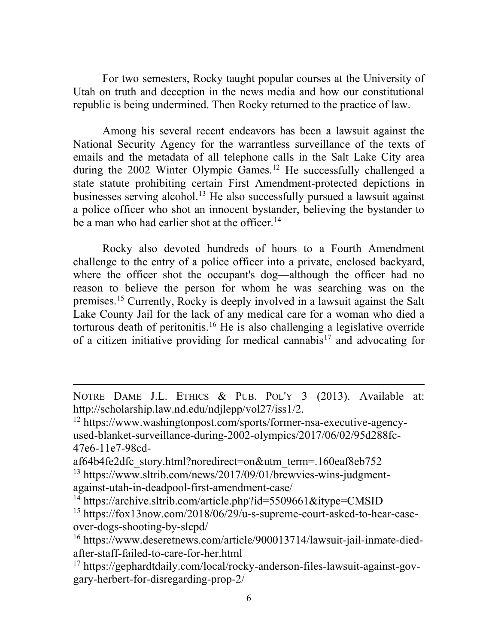For two semesters, Rocky taught popular courses at the University of Utah on truth and deception in the news media and how our constitutional republic is being undermined. Then Rocky returned to the practice of law.

Among his several recent endeavors has been a lawsuit against the National Security Agency for the warrantless surveillance of the texts of emails and the metadata of all telephone calls in the Salt Lake City area during the  $2002$  Winter Olympic Games.<sup>[12](#page-5-0)</sup> He successfully challenged a state statute prohibiting certain First Amendment-protected depictions in businesses serving alcohol.<sup>[13](#page-5-1)</sup> He also successfully pursued a lawsuit against a police officer who shot an innocent bystander, believing the bystander to be a man who had earlier shot at the officer.<sup>[14](#page-5-2)</sup>

Rocky also devoted hundreds of hours to a Fourth Amendment challenge to the entry of a police officer into a private, enclosed backyard, where the officer shot the occupant's dog—although the officer had no reason to believe the person for whom he was searching was on the premises.[15](#page-5-3) Currently, Rocky is deeply involved in a lawsuit against the Salt Lake County Jail for the lack of any medical care for a woman who died a torturous death of peritonitis.<sup>[16](#page-5-4)</sup> He is also challenging a legislative override of a citizen initiative providing for medical cannabis<sup>[17](#page-5-5)</sup> and advocating for

NOTRE DAME J.L. ETHICS & PUB. POL'Y 3 (2013). Available at: http://scholarship.law.nd.edu/ndjlepp/vol27/iss1/2.

<span id="page-5-0"></span><sup>12</sup> [https://www.washingtonpost.com/sports/former-nsa-executive-agency](https://www.washingtonpost.com/sports/former-nsa-executive-agency-used-blanket-surveillance-during-2002-olympics/2017/06/02/95d288fc-47e6-11e7-98cd-af64b4fe2dfc_story.html?noredirect=on&utm_term=.160eaf8eb752)[used-blanket-surveillance-during-2002-olympics/2017/06/02/95d288fc-](https://www.washingtonpost.com/sports/former-nsa-executive-agency-used-blanket-surveillance-during-2002-olympics/2017/06/02/95d288fc-47e6-11e7-98cd-af64b4fe2dfc_story.html?noredirect=on&utm_term=.160eaf8eb752)[47e6-11e7-98cd-](https://www.washingtonpost.com/sports/former-nsa-executive-agency-used-blanket-surveillance-during-2002-olympics/2017/06/02/95d288fc-47e6-11e7-98cd-af64b4fe2dfc_story.html?noredirect=on&utm_term=.160eaf8eb752)

[af64b4fe2dfc\\_story.html?noredirect=on&utm\\_term=.160eaf8eb752](https://www.washingtonpost.com/sports/former-nsa-executive-agency-used-blanket-surveillance-during-2002-olympics/2017/06/02/95d288fc-47e6-11e7-98cd-af64b4fe2dfc_story.html?noredirect=on&utm_term=.160eaf8eb752)

<span id="page-5-1"></span><sup>&</sup>lt;sup>13</sup> [https://www.sltrib.com/news/2017/09/01/brewvies-wins-judgment](https://www.sltrib.com/news/2017/09/01/brewvies-wins-judgment-against-utah-in-deadpool-first-amendment-case/)[against-utah-in-deadpool-first-amendment-case/](https://www.sltrib.com/news/2017/09/01/brewvies-wins-judgment-against-utah-in-deadpool-first-amendment-case/)

<span id="page-5-2"></span><sup>&</sup>lt;sup>14</sup> <https://archive.sltrib.com/article.php?id=5509661&itype=CMSID>

<span id="page-5-3"></span><sup>15</sup> [https://fox13now.com/2018/06/29/u-s-supreme-court-asked-to-hear-case](https://fox13now.com/2018/06/29/u-s-supreme-court-asked-to-hear-case-over-dogs-shooting-by-slcpd/)[over-dogs-shooting-by-slcpd/](https://fox13now.com/2018/06/29/u-s-supreme-court-asked-to-hear-case-over-dogs-shooting-by-slcpd/)

<span id="page-5-4"></span><sup>16</sup> [https://www.deseretnews.com/article/900013714/lawsuit-jail-inmate-died](https://www.deseretnews.com/article/900013714/lawsuit-jail-inmate-died-after-staff-failed-to-care-for-her.html)[after-staff-failed-to-care-for-her.html](https://www.deseretnews.com/article/900013714/lawsuit-jail-inmate-died-after-staff-failed-to-care-for-her.html)

<span id="page-5-5"></span><sup>17</sup> [https://gephardtdaily.com/local/rocky-anderson-files-lawsuit-against-gov](https://gephardtdaily.com/local/rocky-anderson-files-lawsuit-against-gov-gary-herbert-for-disregarding-prop-2/)[gary-herbert-for-disregarding-prop-2/](https://gephardtdaily.com/local/rocky-anderson-files-lawsuit-against-gov-gary-herbert-for-disregarding-prop-2/)